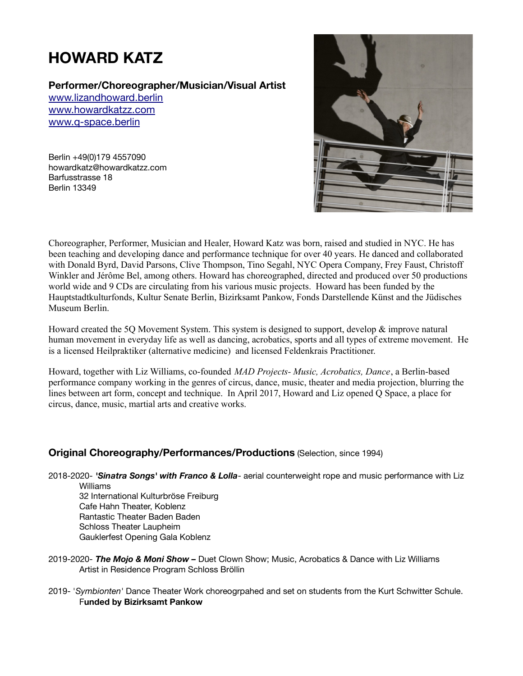# **HOWARD KATZ**

**Performer/Choreographer/Musician/Visual Artist**

[www.lizandhoward.berlin](http://www.madprojects.berlin/) [www.howardkatzz.com](http://www.howardkatzz.com/) [www.q-space.berlin](http://www.q-space.berlin/)

Berlin +49(0)179 4557090 howardkatz@howardkatzz.com Barfusstrasse 18 Berlin 13349



Choreographer, Performer, Musician and Healer, Howard Katz was born, raised and studied in NYC. He has been teaching and developing dance and performance technique for over 40 years. He danced and collaborated with Donald Byrd, David Parsons, Clive Thompson, Tino Segahl, NYC Opera Company, Frey Faust, Christoff Winkler and Jérôme Bel, among others. Howard has choreographed, directed and produced over 50 productions world wide and 9 CDs are circulating from his various music projects. Howard has been funded by the Hauptstadtkulturfonds, Kultur Senate Berlin, Bizirksamt Pankow, Fonds Darstellende Künst and the Jüdisches Museum Berlin.

Howard created the 5Q Movement System. This system is designed to support, develop & improve natural human movement in everyday life as well as dancing, acrobatics, sports and all types of extreme movement. He is a licensed Heilpraktiker (alternative medicine) and licensed Feldenkrais Practitioner.

Howard, together with Liz Williams, co-founded *MAD Projects- Music, Acrobatics, Dance*, a Berlin-based performance company working in the genres of circus, dance, music, theater and media projection, blurring the lines between art form, concept and technique. In April 2017, Howard and Liz opened Q Space, a place for circus, dance, music, martial arts and creative works.

## **Original Choreography/Performances/Productions** (Selection, since 1994)

2018-2020- *'Sinatra Songs' with Franco & Lolla*- aerial counterweight rope and music performance with Liz Williams 32 International Kulturbröse Freiburg Cafe Hahn Theater, Koblenz Rantastic Theater Baden Baden

Schloss Theater Laupheim Gauklerfest Opening Gala Koblenz

- 2019-2020- *The Mojo & Moni Show –* Duet Clown Show; Music, Acrobatics & Dance with Liz Williams Artist in Residence Program Schloss Bröllin
- 2019- '*Symbionten'* Dance Theater Work choreogrpahed and set on students from the Kurt Schwitter Schule. F**unded by Bizirksamt Pankow**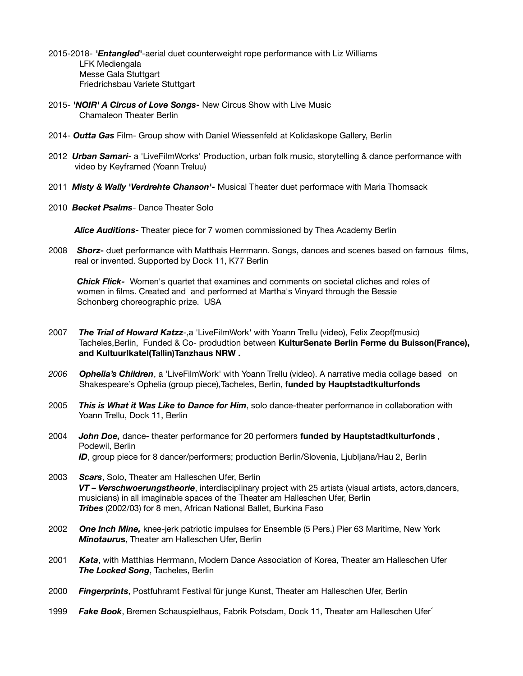- 2015-2018- *'Entangled'*-aerial duet counterweight rope performance with Liz Williams LFK Mediengala Messe Gala Stuttgart Friedrichsbau Variete Stuttgart
- 2015- *'NOIR' A Circus of Love Songs*New Circus Show with Live Music Chamaleon Theater Berlin
- 2014- *Outta Gas* Film- Group show with Daniel Wiessenfeld at Kolidaskope Gallery, Berlin
- 2012 *Urban Samari* a 'LiveFilmWorks' Production, urban folk music, storytelling & dance performance with video by Keyframed (Yoann Treluu)
- 2011 *Misty & Wally 'Verdrehte Chanson'-* Musical Theater duet performace with Maria Thomsack
- 2010 *Becket Psalms* Dance Theater Solo

*Alice Auditions*- Theater piece for 7 women commissioned by Thea Academy Berlin

2008 *Shorz***-** duet performance with Matthais Herrmann. Songs, dances and scenes based on famous films, real or invented. Supported by Dock 11, K77 Berlin

*Chick Flick-* Women's quartet that examines and comments on societal cliches and roles of women in films. Created and and performed at Martha's Vinyard through the Bessie Schonberg choreographic prize. USA

- 2007 *The Trial of Howard Katzz-,a 'LiveFilmWork' with Yoann Trellu (video), Felix Zeopf(music)* Tacheles,Berlin, Funded & Co- produdtion between **KulturSenate Berlin Ferme du Buisson(France), and KultuurIkatel(Tallin)Tanzhaus NRW .**
- *2006 Ophelia's Children*, a 'LiveFilmWork' with Yoann Trellu (video). A narrative media collage based on Shakespeare's Ophelia (group piece),Tacheles, Berlin, f**unded by Hauptstadtkulturfonds**
- 2005 *This is What it Was Like to Dance for Him*, solo dance-theater performance in collaboration with Yoann Trellu, Dock 11, Berlin
- 2004 *John Doe,* dance- theater performance for 20 performers **funded by Hauptstadtkulturfonds** , Podewil, Berlin **ID**, group piece for 8 dancer/performers; production Berlin/Slovenia, Ljubljana/Hau 2, Berlin
- 2003 *Scars*, Solo, Theater am Halleschen Ufer, Berlin *VT – Verschwoerungstheorie*, interdisciplinary project with 25 artists (visual artists, actors,dancers, musicians) in all imaginable spaces of the Theater am Halleschen Ufer, Berlin *Tribes* (2002/03) for 8 men, African National Ballet, Burkina Faso
- 2002 *One Inch Mine,* knee-jerk patriotic impulses for Ensemble (5 Pers.) Pier 63 Maritime, New York *Minotauru***s**, Theater am Halleschen Ufer, Berlin
- 2001 *Kata*, with Matthias Herrmann, Modern Dance Association of Korea, Theater am Halleschen Ufer *The Locked Song*, Tacheles, Berlin
- 2000 *Fingerprints*, Postfuhramt Festival für junge Kunst, Theater am Halleschen Ufer, Berlin
- 1999 *Fake Book*, Bremen Schauspielhaus, Fabrik Potsdam, Dock 11, Theater am Halleschen Ufer´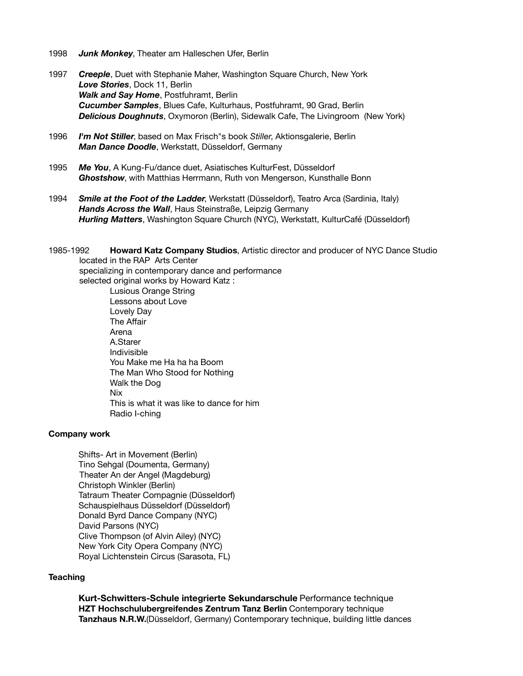- 1998 *Junk Monkey*, Theater am Halleschen Ufer, Berlin
- 1997 *Creeple*, Duet with Stephanie Maher, Washington Square Church, New York *Love Stories*, Dock 11, Berlin *Walk and Say Home*, Postfuhramt, Berlin *Cucumber Samples*, Blues Cafe, Kulturhaus, Postfuhramt, 90 Grad, Berlin *Delicious Doughnuts*, Oxymoron (Berlin), Sidewalk Cafe, The Livingroom (New York)
- 1996 *I'm Not Stiller*, based on Max Frisch"s book *Stiller*, Aktionsgalerie, Berlin *Man Dance Doodle*, Werkstatt, Düsseldorf, Germany
- 1995 *Me You*, A Kung-Fu/dance duet, Asiatisches KulturFest, Düsseldorf *Ghostshow*, with Matthias Herrmann, Ruth von Mengerson, Kunsthalle Bonn
- 1994 *Smile at the Foot of the Ladder*, Werkstatt (Düsseldorf), Teatro Arca (Sardinia, Italy) *Hands Across the Wall*, Haus Steinstraße, Leipzig Germany *Hurling Matters*, Washington Square Church (NYC), Werkstatt, KulturCafé (Düsseldorf)
- 1985-1992 **Howard Katz Company Studios**, Artistic director and producer of NYC Dance Studio located in the RAP Arts Center specializing in contemporary dance and performance selected original works by Howard Katz : Lusious Orange String Lessons about Love Lovely Day The Affair Arena A.Starer Indivisible You Make me Ha ha ha Boom The Man Who Stood for Nothing Walk the Dog Nix This is what it was like to dance for him Radio I-ching

### **Company work**

Shifts- Art in Movement (Berlin) Tino Sehgal (Doumenta, Germany) Theater An der Angel (Magdeburg) Christoph Winkler (Berlin) Tatraum Theater Compagnie (Düsseldorf) Schauspielhaus Düsseldorf (Düsseldorf) Donald Byrd Dance Company (NYC) David Parsons (NYC) Clive Thompson (of Alvin Ailey) (NYC) New York City Opera Company (NYC) Royal Lichtenstein Circus (Sarasota, FL)

#### **Teaching**

**Kurt-Schwitters-Schule integrierte Sekundarschule** Performance technique **HZT Hochschulubergreifendes Zentrum Tanz Berlin** Contemporary technique **Tanzhaus N.R.W.**(Düsseldorf, Germany) Contemporary technique, building little dances